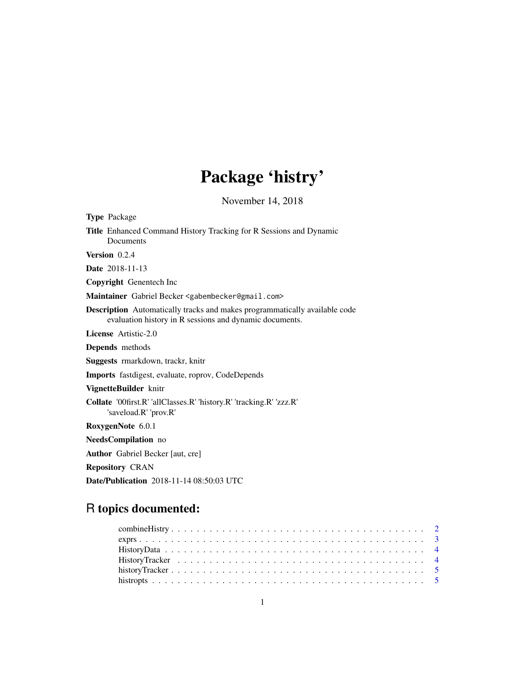# Package 'histry'

November 14, 2018

| <b>Type Package</b>                                                                                                                          |
|----------------------------------------------------------------------------------------------------------------------------------------------|
| Title Enhanced Command History Tracking for R Sessions and Dynamic<br>Documents                                                              |
| Version 0.2.4                                                                                                                                |
| <b>Date</b> 2018-11-13                                                                                                                       |
| Copyright Genentech Inc                                                                                                                      |
| Maintainer Gabriel Becker <gabembecker@gmail.com></gabembecker@gmail.com>                                                                    |
| <b>Description</b> Automatically tracks and makes programmatically available code<br>evaluation history in R sessions and dynamic documents. |
| License Artistic-2.0                                                                                                                         |
| Depends methods                                                                                                                              |
| Suggests rmarkdown, trackr, knitr                                                                                                            |
| <b>Imports</b> fastdigest, evaluate, roprov, CodeDepends                                                                                     |
| VignetteBuilder knitr                                                                                                                        |
| Collate '00first.R' 'allClasses.R' 'history.R' 'tracking.R' 'zzz.R'<br>'saveload.R' 'prov.R'                                                 |
| RoxygenNote 6.0.1                                                                                                                            |
| NeedsCompilation no                                                                                                                          |
| <b>Author</b> Gabriel Becker [aut, cre]                                                                                                      |
| <b>Repository CRAN</b>                                                                                                                       |
| <b>Date/Publication</b> 2018-11-14 08:50:03 UTC                                                                                              |

### R topics documented: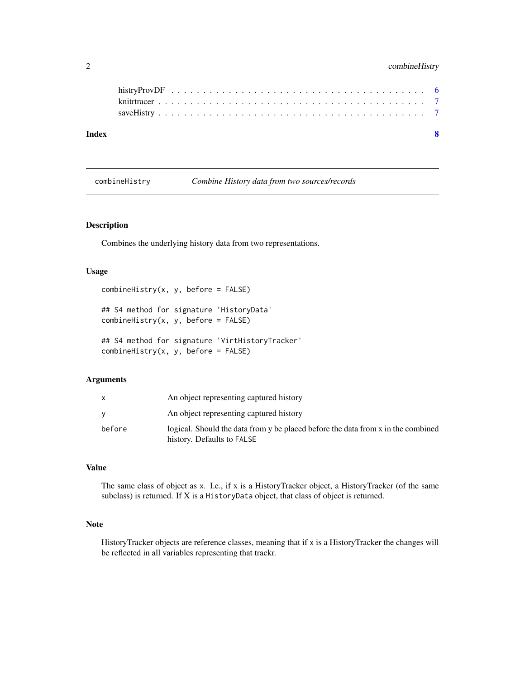#### <span id="page-1-0"></span>2 combineHistry

| Index |  |  |
|-------|--|--|
|       |  |  |
|       |  |  |
|       |  |  |

combineHistry *Combine History data from two sources/records*

#### Description

Combines the underlying history data from two representations.

#### Usage

```
combinelistry(x, y, before = FALSE)## S4 method for signature 'HistoryData'
combinelistry(x, y, before = FALSE)## S4 method for signature 'VirtHistoryTracker'
combinelistry(x, y, before = FALSE)
```
#### Arguments

|        | An object representing captured history                                                                        |
|--------|----------------------------------------------------------------------------------------------------------------|
|        | An object representing captured history                                                                        |
| before | logical. Should the data from y be placed before the data from x in the combined<br>history. Defaults to FALSE |

#### Value

The same class of object as x. I.e., if x is a HistoryTracker object, a HistoryTracker (of the same subclass) is returned. If X is a HistoryData object, that class of object is returned.

#### Note

HistoryTracker objects are reference classes, meaning that if x is a HistoryTracker the changes will be reflected in all variables representing that trackr.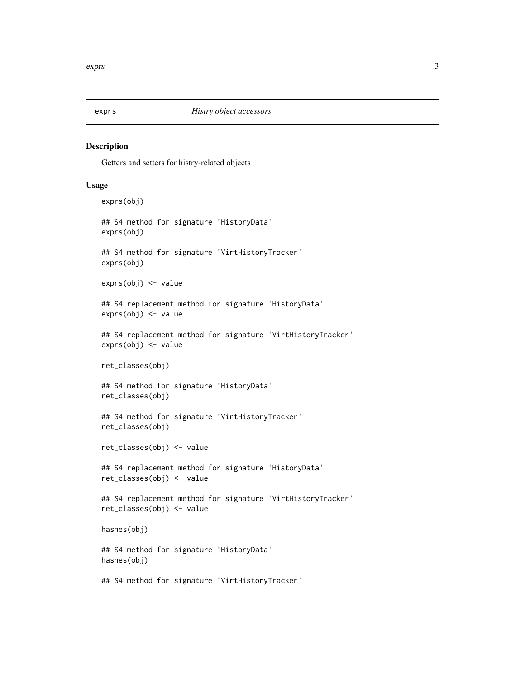<span id="page-2-0"></span>

#### Description

Getters and setters for histry-related objects

#### Usage

```
exprs(obj)
## S4 method for signature 'HistoryData'
exprs(obj)
## S4 method for signature 'VirtHistoryTracker'
exprs(obj)
exprs(obj) <- value
## S4 replacement method for signature 'HistoryData'
exprs(obj) <- value
## S4 replacement method for signature 'VirtHistoryTracker'
exprs(obj) <- value
ret_classes(obj)
## S4 method for signature 'HistoryData'
ret_classes(obj)
## S4 method for signature 'VirtHistoryTracker'
ret_classes(obj)
ret_classes(obj) <- value
## S4 replacement method for signature 'HistoryData'
ret_classes(obj) <- value
## S4 replacement method for signature 'VirtHistoryTracker'
ret_classes(obj) <- value
hashes(obj)
## S4 method for signature 'HistoryData'
hashes(obj)
## S4 method for signature 'VirtHistoryTracker'
```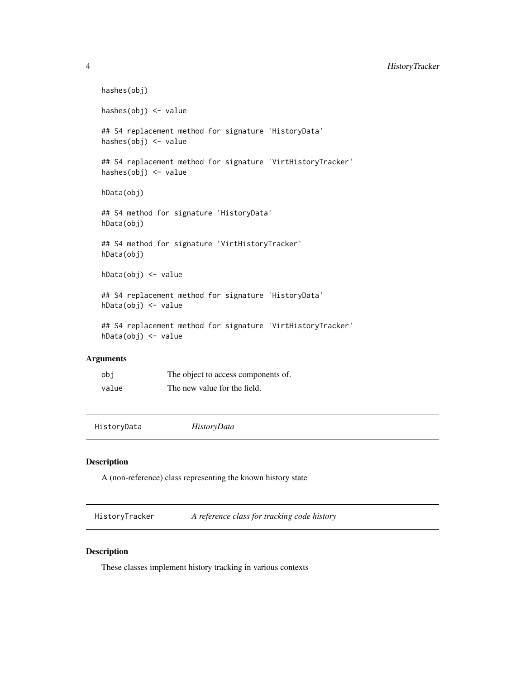#### <span id="page-3-0"></span>4 HistoryTracker

```
hashes(obj)
   hashes(obj) <- value
   ## S4 replacement method for signature 'HistoryData'
   hashes(obj) <- value
   ## S4 replacement method for signature 'VirtHistoryTracker'
   hashes(obj) <- value
   hData(obj)
   ## S4 method for signature 'HistoryData'
   hData(obj)
   ## S4 method for signature 'VirtHistoryTracker'
   hData(obj)
   hData(obj) <- value
   ## S4 replacement method for signature 'HistoryData'
   hData(obj) <- value
   ## S4 replacement method for signature 'VirtHistoryTracker'
   hData(obj) <- value
Arguments
```

| obi   | The object to access components of. |
|-------|-------------------------------------|
| value | The new value for the field.        |

HistoryData *HistoryData*

#### Description

A (non-reference) class representing the known history state

HistoryTracker *A reference class for tracking code history*

#### Description

These classes implement history tracking in various contexts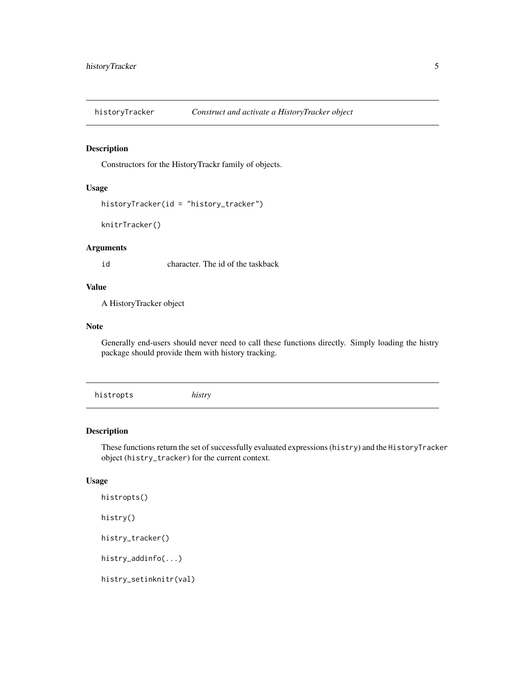<span id="page-4-0"></span>

#### Description

Constructors for the HistoryTrackr family of objects.

#### Usage

```
historyTracker(id = "history_tracker")
```
knitrTracker()

#### Arguments

id character. The id of the taskback

#### Value

A HistoryTracker object

#### Note

Generally end-users should never need to call these functions directly. Simply loading the histry package should provide them with history tracking.

histropts *histry*

#### Description

These functions return the set of successfully evaluated expressions (histry) and the HistoryTracker object (histry\_tracker) for the current context.

#### Usage

```
histropts()
histry()
histry_tracker()
histry_addinfo(...)
histry_setinknitr(val)
```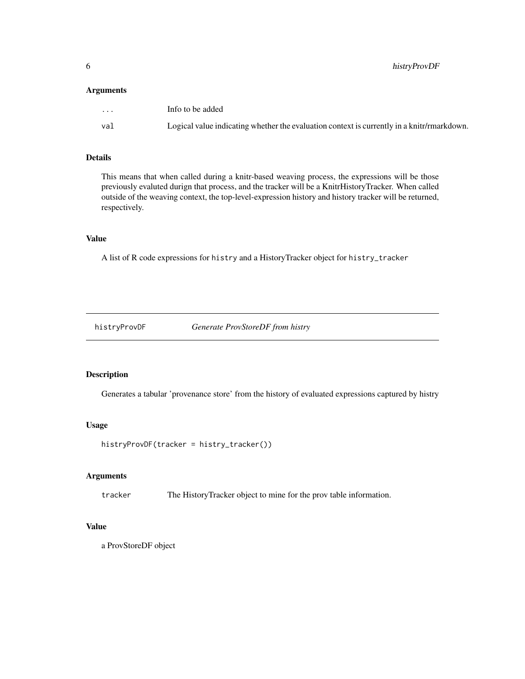#### <span id="page-5-0"></span>Arguments

| $\cdot$ $\cdot$ $\cdot$ | Info to be added                                                                           |
|-------------------------|--------------------------------------------------------------------------------------------|
| val                     | Logical value indicating whether the evaluation context is currently in a knitr/rmarkdown. |

#### Details

This means that when called during a knitr-based weaving process, the expressions will be those previously evaluted durign that process, and the tracker will be a KnitrHistoryTracker. When called outside of the weaving context, the top-level-expression history and history tracker will be returned, respectively.

#### Value

A list of R code expressions for histry and a HistoryTracker object for histry\_tracker

histryProvDF *Generate ProvStoreDF from histry*

#### Description

Generates a tabular 'provenance store' from the history of evaluated expressions captured by histry

#### Usage

```
histryProvDF(tracker = histry_tracker())
```
#### Arguments

tracker The HistoryTracker object to mine for the prov table information.

#### Value

a ProvStoreDF object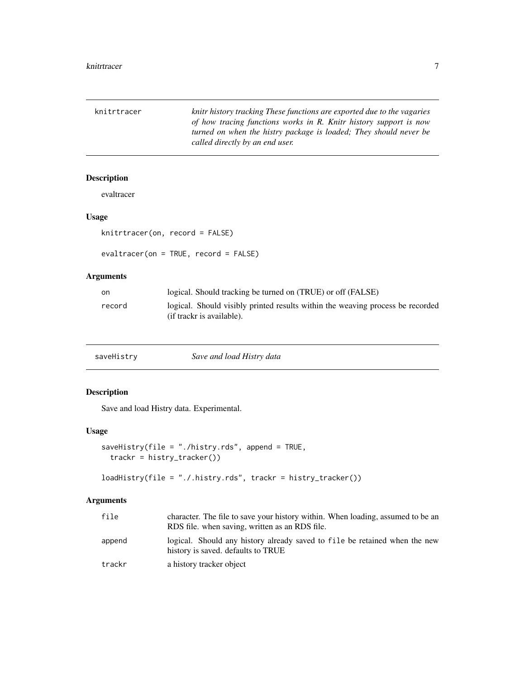<span id="page-6-0"></span>

| knitrtracer | knitr history tracking These functions are exported due to the vagaries |
|-------------|-------------------------------------------------------------------------|
|             | of how tracing functions works in R. Knitr history support is now       |
|             | turned on when the histry package is loaded; They should never be       |
|             | called directly by an end user.                                         |

#### Description

evaltracer

#### Usage

```
knitrtracer(on, record = FALSE)
```

```
evaltracer(on = TRUE, record = FALSE)
```
#### Arguments

| on.    | logical. Should tracking be turned on <i>(TRUE)</i> or off <i>(FALSE)</i>                                   |
|--------|-------------------------------------------------------------------------------------------------------------|
| record | logical. Should visibly printed results within the weaving process be recorded<br>(if trackr is available). |

#### Description

Save and load Histry data. Experimental.

#### Usage

```
saveHistry(file = "./histry.rds", append = TRUE,
  trackr = histry_tracker())
```

```
loadHistry(file = "./.histry.rds", trackr = histry_tracker())
```
#### Arguments

| file   | character. The file to save your history within. When loading, assumed to be an<br>RDS file. when saving, written as an RDS file. |
|--------|-----------------------------------------------------------------------------------------------------------------------------------|
| append | logical. Should any history already saved to file be retained when the new<br>history is saved. defaults to TRUE                  |
| trackr | a history tracker object                                                                                                          |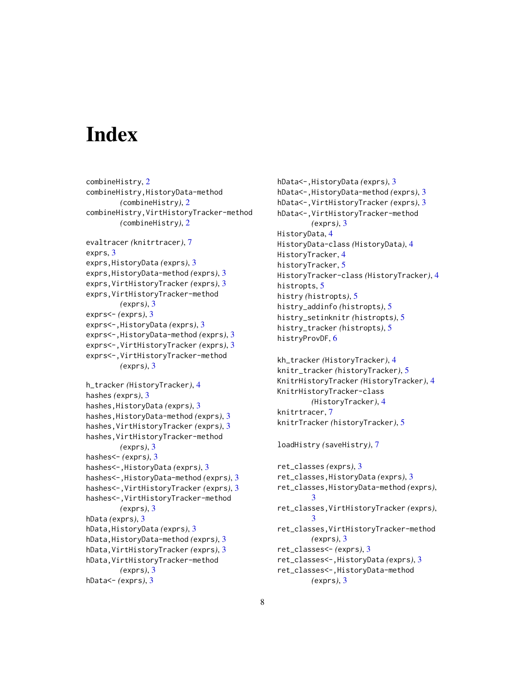## <span id="page-7-0"></span>**Index**

```
combineHistry, 2
combineHistry,HistoryData-method
        (combineHistry), 2
combineHistry,VirtHistoryTracker-method
        (combineHistry), 2
evaltracer (knitrtracer), 7
exprs, 3
exprs,HistoryData (exprs), 3
exprs,HistoryData-method (exprs), 3
exprs,VirtHistoryTracker (exprs), 3
exprs,VirtHistoryTracker-method
        (exprs), 3
exprs<- (exprs), 3
exprs<-,HistoryData (exprs), 3
exprs<-,HistoryData-method (exprs), 3
exprs<-,VirtHistoryTracker (exprs), 3
exprs<-,VirtHistoryTracker-method
        (exprs), 3
h_tracker (HistoryTracker), 4
hashes (exprs), 3
hashes,HistoryData (exprs), 3
hashes,HistoryData-method (exprs), 3
hashes,VirtHistoryTracker (exprs), 3
hashes,VirtHistoryTracker-method
        (exprs), 3
hashes<- (exprs), 3
hashes<-,HistoryData (exprs), 3
hashes<-,HistoryData-method (exprs), 3
hashes<-,VirtHistoryTracker (exprs), 3
hashes<-,VirtHistoryTracker-method
        (exprs), 3
hData (exprs), 3
hData,HistoryData (exprs), 3
hData,HistoryData-method (exprs), 3
hData,VirtHistoryTracker (exprs), 3
hData,VirtHistoryTracker-method
        (exprs), 3
hData<- (exprs), 3
```
hData<-,HistoryData *(*exprs*)*, [3](#page-2-0) hData<-,HistoryData-method *(*exprs*)*, [3](#page-2-0) hData<-,VirtHistoryTracker *(*exprs*)*, [3](#page-2-0) hData<-,VirtHistoryTracker-method *(*exprs*)*, [3](#page-2-0) HistoryData, [4](#page-3-0) HistoryData-class *(*HistoryData*)*, [4](#page-3-0) HistoryTracker, [4](#page-3-0) historyTracker, [5](#page-4-0) HistoryTracker-class *(*HistoryTracker*)*, [4](#page-3-0) histropts, [5](#page-4-0) histry *(*histropts*)*, [5](#page-4-0) histry\_addinfo *(*histropts*)*, [5](#page-4-0) histry\_setinknitr *(*histropts*)*, [5](#page-4-0) histry\_tracker *(*histropts*)*, [5](#page-4-0) histryProvDF, [6](#page-5-0) kh\_tracker *(*HistoryTracker*)*, [4](#page-3-0) knitr\_tracker *(*historyTracker*)*, [5](#page-4-0) KnitrHistoryTracker *(*HistoryTracker*)*, [4](#page-3-0) KnitrHistoryTracker-class *(*HistoryTracker*)*, [4](#page-3-0)

```
knitrTracker (historyTracker), 5
```
loadHistry *(*saveHistry*)*, [7](#page-6-0)

knitrtracer, [7](#page-6-0)

```
ret_classes (exprs), 3
ret_classes,HistoryData (exprs), 3
ret_classes,HistoryData-method (exprs),
         3
ret_classes,VirtHistoryTracker (exprs),
        3
ret_classes,VirtHistoryTracker-method
        (exprs), 3
ret_classes<- (exprs), 3
ret_classes<-,HistoryData (exprs), 3
ret_classes<-,HistoryData-method
        (exprs), 3
```